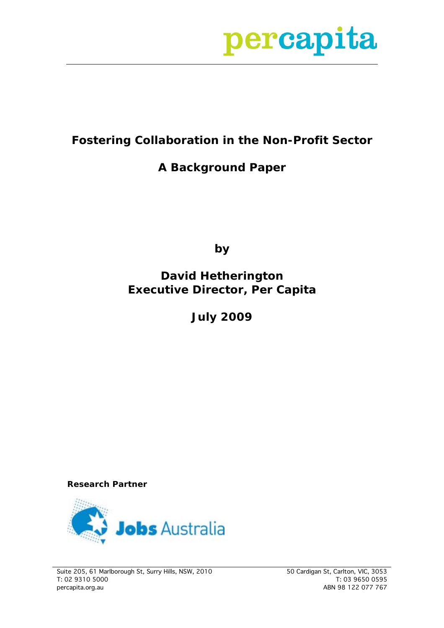

### **Fostering Collaboration in the Non-Profit Sector**

### **A Background Paper**

**by** 

### **David Hetherington Executive Director, Per Capita**

**July 2009**

**Research Partner** 

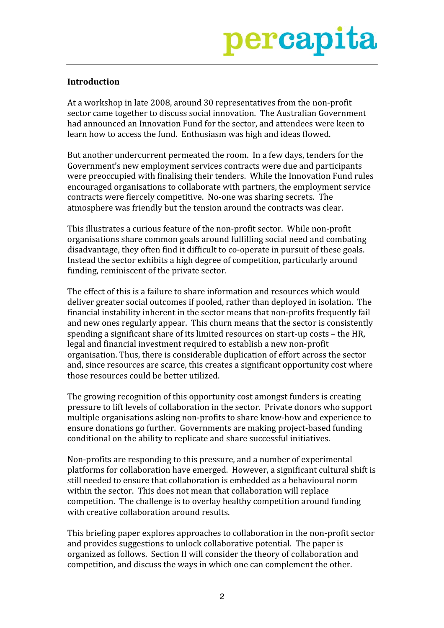

### **Introduction**

At a workshop in late 2008, around 30 representatives from the non-profit sector came together to discuss social innovation. The Australian Government had announced an Innovation Fund for the sector, and attendees were keen to learn how to access the fund. Enthusiasm was high and ideas flowed.

But another undercurrent permeated the room. In a few days, tenders for the Government's new employment services contracts were due and participants were preoccupied with finalising their tenders. While the Innovation Fund rules encouraged organisations to collaborate with partners, the employment service contracts were fiercely competitive. No-one was sharing secrets. The atmosphere was friendly but the tension around the contracts was clear.

This illustrates a curious feature of the non-profit sector. While non-profit organisations share common goals around fulfilling social need and combating disadvantage, they often find it difficult to co-operate in pursuit of these goals. Instead the sector exhibits a high degree of competition, particularly around funding, reminiscent of the private sector.

The effect of this is a failure to share information and resources which would deliver greater social outcomes if pooled, rather than deployed in isolation. The financial instability inherent in the sector means that non-profits frequently fail and new ones regularly appear. This churn means that the sector is consistently spending a significant share of its limited resources on start-up costs - the HR, legal and financial investment required to establish a new non-profit organisation. Thus, there is considerable duplication of effort across the sector and, since resources are scarce, this creates a significant opportunity cost where those resources could be better utilized.

The growing recognition of this opportunity cost amongst funders is creating pressure to lift levels of collaboration in the sector. Private donors who support multiple organisations asking non-profits to share know-how and experience to ensure donations go further. Governments are making project-based funding conditional on the ability to replicate and share successful initiatives.

Non-profits are responding to this pressure, and a number of experimental platforms for collaboration have emerged. However, a significant cultural shift is still needed to ensure that collaboration is embedded as a behavioural norm within the sector. This does not mean that collaboration will replace competition. The challenge is to overlay healthy competition around funding with creative collaboration around results.

This briefing paper explores approaches to collaboration in the non-profit sector and provides suggestions to unlock collaborative potential. The paper is organized as follows. Section II will consider the theory of collaboration and competition, and discuss the ways in which one can complement the other.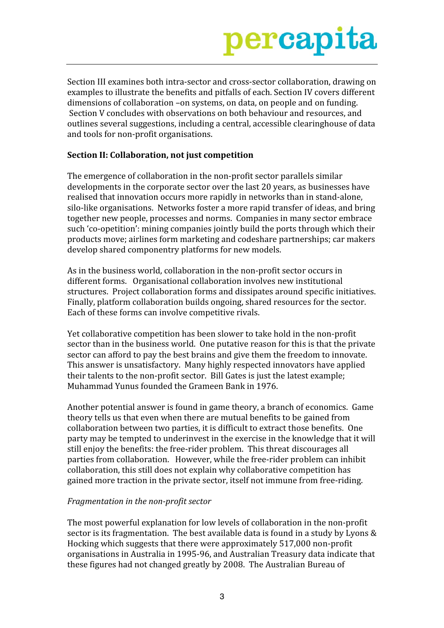Section III examines both intra-sector and cross-sector collaboration, drawing on examples to illustrate the benefits and pitfalls of each. Section IV covers different dimensions of collaboration -on systems, on data, on people and on funding. Section V concludes with observations on both behaviour and resources, and outlines several suggestions, including a central, accessible clearinghouse of data and tools for non-profit organisations.

### Section II: Collaboration, not just competition

The emergence of collaboration in the non-profit sector parallels similar developments in the corporate sector over the last 20 years, as businesses have realised that innovation occurs more rapidly in networks than in stand-alone. silo-like organisations. Networks foster a more rapid transfer of ideas, and bring together new people, processes and norms. Companies in many sector embrace such 'co-opetition': mining companies jointly build the ports through which their products move; airlines form marketing and codeshare partnerships; car makers develop shared componentry platforms for new models.

As in the business world, collaboration in the non-profit sector occurs in different forms. Organisational collaboration involves new institutional structures. Project collaboration forms and dissipates around specific initiatives. Finally, platform collaboration builds ongoing, shared resources for the sector. Each of these forms can involve competitive rivals.

Yet collaborative competition has been slower to take hold in the non-profit sector than in the business world. One putative reason for this is that the private sector can afford to pay the best brains and give them the freedom to innovate. This answer is unsatisfactory. Many highly respected innovators have applied their talents to the non-profit sector. Bill Gates is just the latest example; Muhammad Yunus founded the Grameen Bank in 1976.

Another potential answer is found in game theory, a branch of economics. Game theory tells us that even when there are mutual benefits to be gained from collaboration between two parties, it is difficult to extract those benefits. One party may be tempted to underinvest in the exercise in the knowledge that it will still enjoy the benefits: the free-rider problem. This threat discourages all parties from collaboration. However, while the free-rider problem can inhibit collaboration, this still does not explain why collaborative competition has gained more traction in the private sector, itself not immune from free-riding.

### Fragmentation in the non-profit sector

The most powerful explanation for low levels of collaboration in the non-profit sector is its fragmentation. The best available data is found in a study by Lyons & Hocking which suggests that there were approximately 517,000 non-profit organisations in Australia in 1995-96, and Australian Treasury data indicate that these figures had not changed greatly by 2008. The Australian Bureau of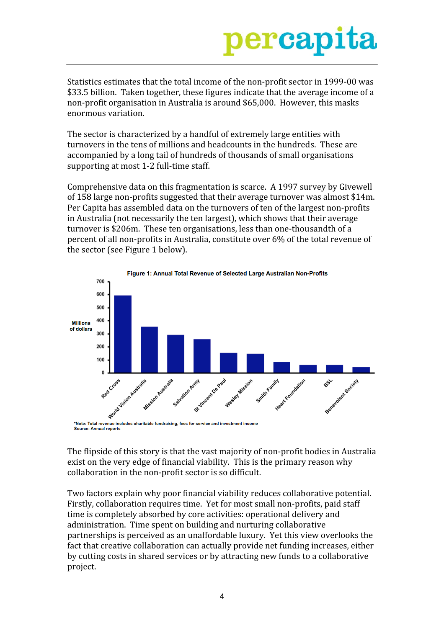Statistics estimates that the total income of the non-profit sector in 1999-00 was \$33.5 billion. Taken together, these figures indicate that the average income of a non-profit organisation in Australia is around \$65,000. However, this masks enormous variation.

The sector is characterized by a handful of extremely large entities with turnovers in the tens of millions and headcounts in the hundreds. These are accompanied by a long tail of hundreds of thousands of small organisations supporting at most 1-2 full-time staff.

Comprehensive data on this fragmentation is scarce. A 1997 survey by Givewell of 158 large non-profits suggested that their average turnover was almost \$14m. Per Capita has assembled data on the turnovers of ten of the largest non-profits in Australia (not necessarily the ten largest), which shows that their average turnover is \$206m. These ten organisations, less than one-thousandth of a percent of all non-profits in Australia, constitute over 6% of the total revenue of the sector (see Figure 1 below).



The flipside of this story is that the vast majority of non-profit bodies in Australia exist on the very edge of financial viability. This is the primary reason why collaboration in the non-profit sector is so difficult.

Two factors explain why poor financial viability reduces collaborative potential. Firstly, collaboration requires time. Yet for most small non-profits, paid staff time is completely absorbed by core activities: operational delivery and administration. Time spent on building and nurturing collaborative partnerships is perceived as an unaffordable luxury. Yet this view overlooks the fact that creative collaboration can actually provide net funding increases, either by cutting costs in shared services or by attracting new funds to a collaborative project.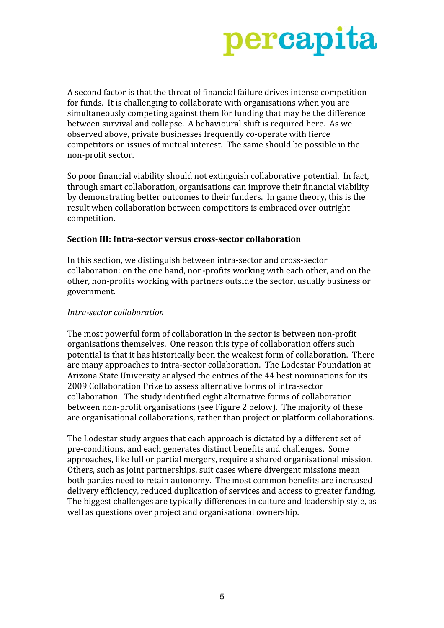A second factor is that the threat of financial failure drives intense competition for funds. It is challenging to collaborate with organisations when you are simultaneously competing against them for funding that may be the difference between survival and collapse. A behavioural shift is required here. As we observed above, private businesses frequently co-operate with fierce competitors on issues of mutual interest. The same should be possible in the non-profit sector.

So poor financial viability should not extinguish collaborative potential. In fact, through smart collaboration, organisations can improve their financial viability by demonstrating better outcomes to their funders. In game theory, this is the result when collaboration between competitors is embraced over outright competition.

#### Section III: Intra-sector versus cross-sector collaboration

In this section, we distinguish between intra-sector and cross-sector collaboration: on the one hand, non-profits working with each other, and on the other, non-profits working with partners outside the sector, usually business or government.

#### Intra-sector collaboration

The most powerful form of collaboration in the sector is between non-profit organisations themselves. One reason this type of collaboration offers such potential is that it has historically been the weakest form of collaboration. There are many approaches to intra-sector collaboration. The Lodestar Foundation at Arizona State University analysed the entries of the 44 best nominations for its 2009 Collaboration Prize to assess alternative forms of intra-sector collaboration. The study identified eight alternative forms of collaboration between non-profit organisations (see Figure 2 below). The majority of these are organisational collaborations, rather than project or platform collaborations.

The Lodestar study argues that each approach is dictated by a different set of pre-conditions, and each generates distinct benefits and challenges. Some approaches, like full or partial mergers, require a shared organisational mission. Others, such as joint partnerships, suit cases where divergent missions mean both parties need to retain autonomy. The most common benefits are increased delivery efficiency, reduced duplication of services and access to greater funding. The biggest challenges are typically differences in culture and leadership style, as well as questions over project and organisational ownership.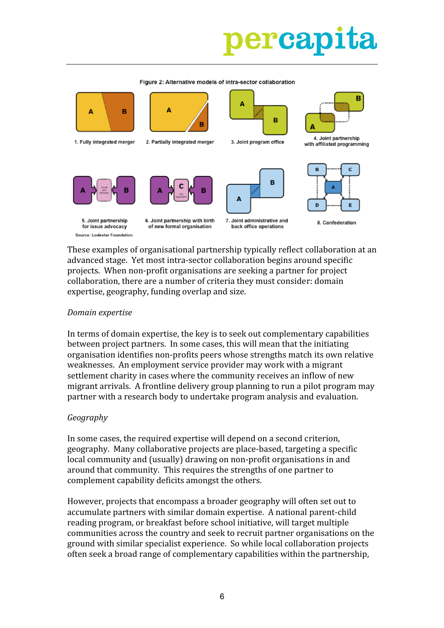## ercap

Δ Δ Δ B B 4. Joint partnership 1. Fully integrated merger 2. Partially integrated merger 3. Joint program office with affiliated programming B  $\Delta$ Δ D 5. Joint partnership 6. Joint partnership with birth 7. Joint administrative and 8. Confederation for issue advocacy of new formal organisation back office operations Source: Lodestar Foundation

Figure 2: Alternative models of intra-sector collaboration

These examples of organisational partnership typically reflect collaboration at an advanced stage. Yet most intra-sector collaboration begins around specific projects. When non-profit organisations are seeking a partner for project collaboration, there are a number of criteria they must consider: domain expertise, geography, funding overlap and size.

#### Domain expertise

In terms of domain expertise, the key is to seek out complementary capabilities between project partners. In some cases, this will mean that the initiating organisation identifies non-profits peers whose strengths match its own relative weaknesses. An employment service provider may work with a migrant settlement charity in cases where the community receives an inflow of new migrant arrivals. A frontline delivery group planning to run a pilot program may partner with a research body to undertake program analysis and evaluation.

### Geography

In some cases, the required expertise will depend on a second criterion, geography. Many collaborative projects are place-based, targeting a specific local community and (usually) drawing on non-profit organisations in and around that community. This requires the strengths of one partner to complement capability deficits amongst the others.

However, projects that encompass a broader geography will often set out to accumulate partners with similar domain expertise. A national parent-child reading program, or breakfast before school initiative, will target multiple communities across the country and seek to recruit partner organisations on the ground with similar specialist experience. So while local collaboration projects often seek a broad range of complementary capabilities within the partnership,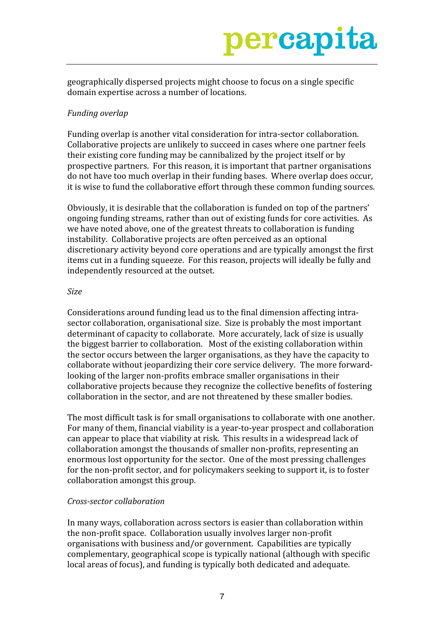geographically dispersed projects might choose to focus on a single specific domain expertise across a number of locations.

### Funding overlap

Funding overlap is another vital consideration for intra-sector collaboration. Collaborative projects are unlikely to succeed in cases where one partner feels their existing core funding may be cannibalized by the project itself or by prospective partners. For this reason, it is important that partner organisations do not have too much overlap in their funding bases. Where overlap does occur, it is wise to fund the collaborative effort through these common funding sources.

Obviously, it is desirable that the collaboration is funded on top of the partners' ongoing funding streams, rather than out of existing funds for core activities. As we have noted above, one of the greatest threats to collaboration is funding instability. Collaborative projects are often perceived as an optional discretionary activity beyond core operations and are typically amongst the first items cut in a funding squeeze. For this reason, projects will ideally be fully and independently resourced at the outset.

#### **Size**

Considerations around funding lead us to the final dimension affecting intrasector collaboration, organisational size. Size is probably the most important determinant of capacity to collaborate. More accurately, lack of size is usually the biggest barrier to collaboration. Most of the existing collaboration within the sector occurs between the larger organisations, as they have the capacity to collaborate without jeopardizing their core service delivery. The more forwardlooking of the larger non-profits embrace smaller organisations in their collaborative projects because they recognize the collective benefits of fostering collaboration in the sector, and are not threatened by these smaller bodies.

The most difficult task is for small organisations to collaborate with one another. For many of them, financial viability is a year-to-year prospect and collaboration can appear to place that viability at risk. This results in a widespread lack of collaboration amongst the thousands of smaller non-profits, representing an enormous lost opportunity for the sector. One of the most pressing challenges for the non-profit sector, and for policymakers seeking to support it, is to foster collaboration amongst this group.

### Cross-sector collaboration

In many ways, collaboration across sectors is easier than collaboration within the non-profit space. Collaboration usually involves larger non-profit organisations with business and/or government. Capabilities are typically complementary, geographical scope is typically national (although with specific local areas of focus), and funding is typically both dedicated and adequate.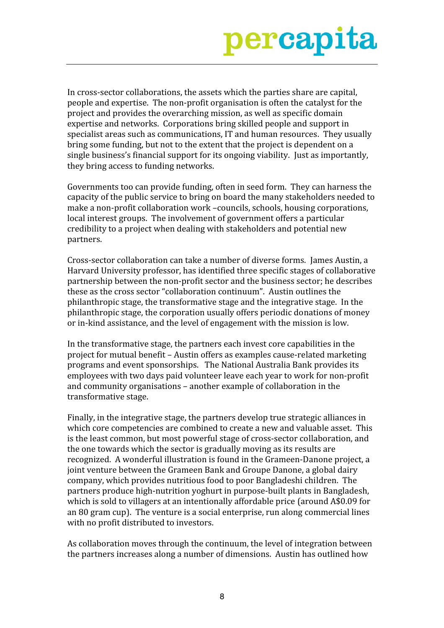In cross-sector collaborations, the assets which the parties share are capital, people and expertise. The non-profit organisation is often the catalyst for the project and provides the overarching mission, as well as specific domain expertise and networks. Corporations bring skilled people and support in specialist areas such as communications, IT and human resources. They usually bring some funding, but not to the extent that the project is dependent on a single business's financial support for its ongoing viability. Just as importantly, they bring access to funding networks.

Governments too can provide funding, often in seed form. They can harness the capacity of the public service to bring on board the many stakeholders needed to make a non-profit collaboration work -councils, schools, housing corporations, local interest groups. The involvement of government offers a particular credibility to a project when dealing with stakeholders and potential new partners.

Cross-sector collaboration can take a number of diverse forms. James Austin, a Harvard University professor, has identified three specific stages of collaborative partnership between the non-profit sector and the business sector; he describes these as the cross sector "collaboration continuum". Austin outlines the philanthropic stage, the transformative stage and the integrative stage. In the philanthropic stage, the corporation usually offers periodic donations of money or in-kind assistance, and the level of engagement with the mission is low.

In the transformative stage, the partners each invest core capabilities in the project for mutual benefit - Austin offers as examples cause-related marketing programs and event sponsorships. The National Australia Bank provides its employees with two days paid volunteer leave each year to work for non-profit and community organisations – another example of collaboration in the transformative stage.

Finally, in the integrative stage, the partners develop true strategic alliances in which core competencies are combined to create a new and valuable asset. This is the least common, but most powerful stage of cross-sector collaboration, and the one towards which the sector is gradually moving as its results are recognized. A wonderful illustration is found in the Grameen-Danone project, a joint venture between the Grameen Bank and Groupe Danone, a global dairy company, which provides nutritious food to poor Bangladeshi children. The partners produce high-nutrition yoghurt in purpose-built plants in Bangladesh, which is sold to villagers at an intentionally affordable price (around A\$0.09 for an 80 gram cup). The venture is a social enterprise, run along commercial lines with no profit distributed to investors.

As collaboration moves through the continuum, the level of integration between the partners increases along a number of dimensions. Austin has outlined how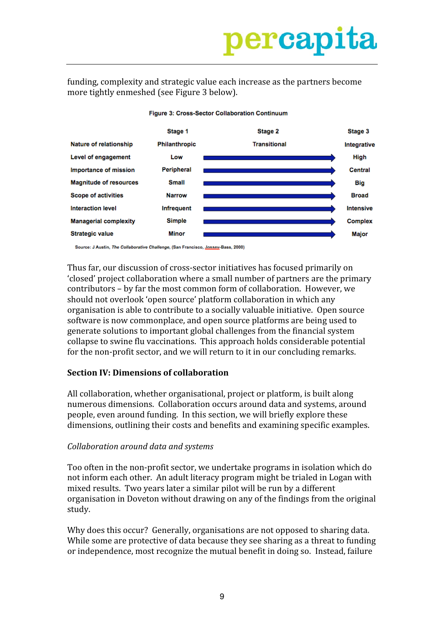funding, complexity and strategic value each increase as the partners become more tightly enmeshed (see Figure 3 below).



#### Figure 3: Cross-Sector Collaboration Continuum

Source: J Austin, The Collaborative Challenge, (San Francisco, Jossey-Bass, 2000)

Thus far, our discussion of cross-sector initiatives has focused primarily on 'closed' project collaboration where a small number of partners are the primary contributors – by far the most common form of collaboration. However, we should not overlook 'open source' platform collaboration in which any organisation is able to contribute to a socially valuable initiative. Open source software is now commonplace, and open source platforms are being used to generate solutions to important global challenges from the financial system collapse to swine flu vaccinations. This approach holds considerable potential for the non-profit sector, and we will return to it in our concluding remarks.

### **Section IV: Dimensions of collaboration**

All collaboration, whether organisational, project or platform, is built along numerous dimensions. Collaboration occurs around data and systems, around people, even around funding. In this section, we will briefly explore these dimensions, outlining their costs and benefits and examining specific examples.

#### Collaboration around data and systems

Too often in the non-profit sector, we undertake programs in isolation which do not inform each other. An adult literacy program might be trialed in Logan with mixed results. Two years later a similar pilot will be run by a different organisation in Doveton without drawing on any of the findings from the original study.

Why does this occur? Generally, organisations are not opposed to sharing data. While some are protective of data because they see sharing as a threat to funding or independence, most recognize the mutual benefit in doing so. Instead, failure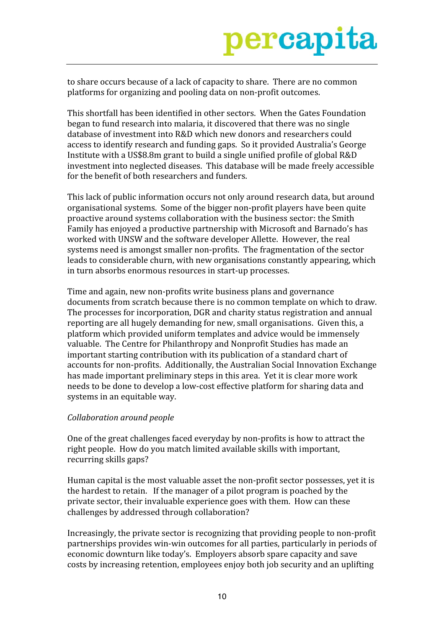

to share occurs because of a lack of capacity to share. There are no common platforms for organizing and pooling data on non-profit outcomes.

This shortfall has been identified in other sectors. When the Gates Foundation began to fund research into malaria, it discovered that there was no single database of investment into R&D which new donors and researchers could access to identify research and funding gaps. So it provided Australia's George Institute with a US\$8.8m grant to build a single unified profile of global R&D investment into neglected diseases. This database will be made freely accessible for the benefit of both researchers and funders.

This lack of public information occurs not only around research data, but around organisational systems. Some of the bigger non-profit players have been quite proactive around systems collaboration with the business sector: the Smith Family has enjoyed a productive partnership with Microsoft and Barnado's has worked with UNSW and the software developer Allette. However, the real systems need is amongst smaller non-profits. The fragmentation of the sector leads to considerable churn, with new organisations constantly appearing, which in turn absorbs enormous resources in start-up processes.

Time and again, new non-profits write business plans and governance documents from scratch because there is no common template on which to draw. The processes for incorporation, DGR and charity status registration and annual reporting are all hugely demanding for new, small organisations. Given this, a platform which provided uniform templates and advice would be immensely valuable. The Centre for Philanthropy and Nonprofit Studies has made an important starting contribution with its publication of a standard chart of accounts for non-profits. Additionally, the Australian Social Innovation Exchange has made important preliminary steps in this area. Yet it is clear more work needs to be done to develop a low-cost effective platform for sharing data and systems in an equitable way.

#### Collaboration around people

One of the great challenges faced everyday by non-profits is how to attract the right people. How do you match limited available skills with important, recurring skills gaps?

Human capital is the most valuable asset the non-profit sector possesses, yet it is the hardest to retain. If the manager of a pilot program is poached by the private sector, their invaluable experience goes with them. How can these challenges by addressed through collaboration?

Increasingly, the private sector is recognizing that providing people to non-profit partnerships provides win-win outcomes for all parties, particularly in periods of economic downturn like today's. Employers absorb spare capacity and save costs by increasing retention, employees enjoy both job security and an uplifting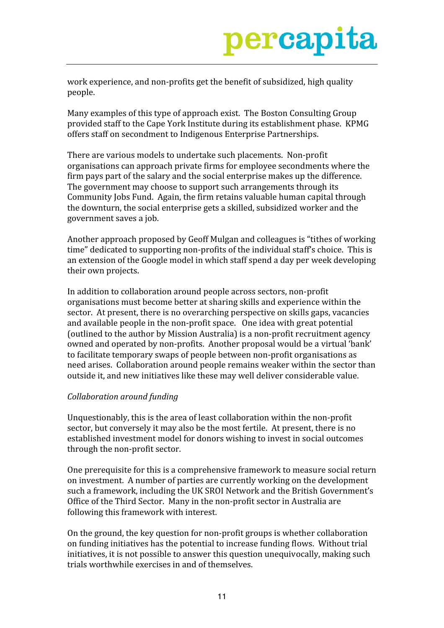work experience, and non-profits get the benefit of subsidized, high quality people.

Many examples of this type of approach exist. The Boston Consulting Group provided staff to the Cape York Institute during its establishment phase. KPMG offers staff on secondment to Indigenous Enterprise Partnerships.

There are various models to undertake such placements. Non-profit organisations can approach private firms for employee secondments where the firm pays part of the salary and the social enterprise makes up the difference. The government may choose to support such arrangements through its Community Jobs Fund. Again, the firm retains valuable human capital through the downturn, the social enterprise gets a skilled, subsidized worker and the government saves a job.

Another approach proposed by Geoff Mulgan and colleagues is "tithes of working" time" dedicated to supporting non-profits of the individual staff's choice. This is an extension of the Google model in which staff spend a day per week developing their own projects.

In addition to collaboration around people across sectors, non-profit organisations must become better at sharing skills and experience within the sector. At present, there is no overarching perspective on skills gaps, vacancies and available people in the non-profit space. One idea with great potential (outlined to the author by Mission Australia) is a non-profit recruitment agency owned and operated by non-profits. Another proposal would be a virtual 'bank' to facilitate temporary swaps of people between non-profit organisations as need arises. Collaboration around people remains weaker within the sector than outside it, and new initiatives like these may well deliver considerable value.

### Collaboration around funding

Unquestionably, this is the area of least collaboration within the non-profit sector, but conversely it may also be the most fertile. At present, there is no established investment model for donors wishing to invest in social outcomes through the non-profit sector.

One prerequisite for this is a comprehensive framework to measure social return on investment. A number of parties are currently working on the development such a framework, including the UK SROI Network and the British Government's Office of the Third Sector. Many in the non-profit sector in Australia are following this framework with interest.

On the ground, the key question for non-profit groups is whether collaboration on funding initiatives has the potential to increase funding flows. Without trial initiatives, it is not possible to answer this question unequivocally, making such trials worthwhile exercises in and of themselves.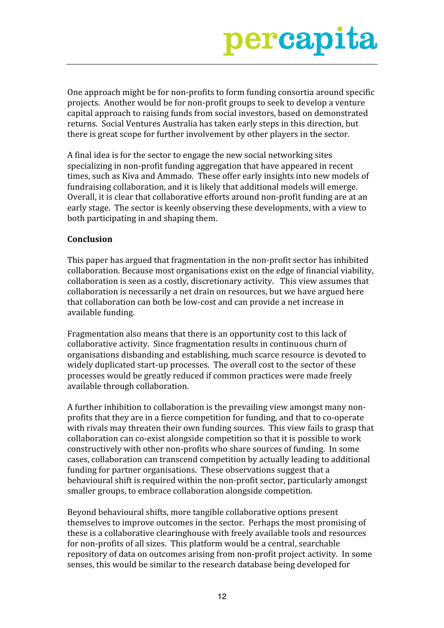One approach might be for non-profits to form funding consortia around specific projects. Another would be for non-profit groups to seek to develop a venture capital approach to raising funds from social investors, based on demonstrated returns. Social Ventures Australia has taken early steps in this direction, but there is great scope for further involvement by other players in the sector.

A final idea is for the sector to engage the new social networking sites specializing in non-profit funding aggregation that have appeared in recent times, such as Kiva and Ammado. These offer early insights into new models of fundraising collaboration, and it is likely that additional models will emerge. Overall, it is clear that collaborative efforts around non-profit funding are at an early stage. The sector is keenly observing these developments, with a view to both participating in and shaping them.

### Conclusion

This paper has argued that fragmentation in the non-profit sector has inhibited collaboration. Because most organisations exist on the edge of financial viability, collaboration is seen as a costly, discretionary activity. This view assumes that collaboration is necessarily a net drain on resources, but we have argued here that collaboration can both be low-cost and can provide a net increase in available funding.

Fragmentation also means that there is an opportunity cost to this lack of collaborative activity. Since fragmentation results in continuous churn of organisations disbanding and establishing, much scarce resource is devoted to widely duplicated start-up processes. The overall cost to the sector of these processes would be greatly reduced if common practices were made freely available through collaboration.

A further inhibition to collaboration is the prevailing view amongst many nonprofits that they are in a fierce competition for funding, and that to co-operate with rivals may threaten their own funding sources. This view fails to grasp that collaboration can co-exist alongside competition so that it is possible to work constructively with other non-profits who share sources of funding. In some cases, collaboration can transcend competition by actually leading to additional funding for partner organisations. These observations suggest that a behavioural shift is required within the non-profit sector, particularly amongst smaller groups, to embrace collaboration alongside competition.

Beyond behavioural shifts, more tangible collaborative options present themselves to improve outcomes in the sector. Perhaps the most promising of these is a collaborative clearinghouse with freely available tools and resources for non-profits of all sizes. This platform would be a central, searchable repository of data on outcomes arising from non-profit project activity. In some senses, this would be similar to the research database being developed for